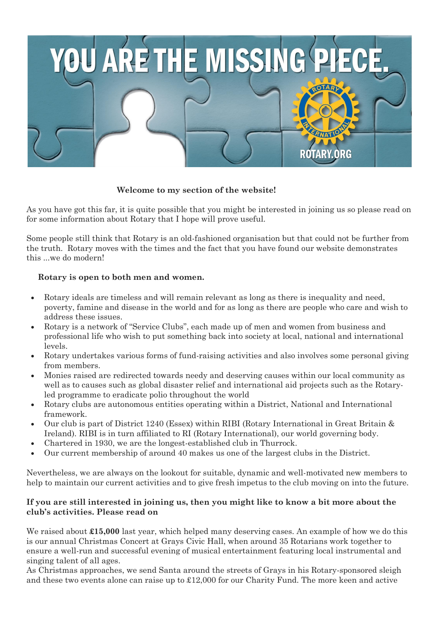

## **Welcome to my section of the website!**

As you have got this far, it is quite possible that you might be interested in joining us so please read on for some information about Rotary that I hope will prove useful.

Some people still think that Rotary is an old-fashioned organisation but that could not be further from the truth. Rotary moves with the times and the fact that you have found our website demonstrates this ...we do modern!

## **Rotary is open to both men and women.**

- Rotary ideals are timeless and will remain relevant as long as there is inequality and need, poverty, famine and disease in the world and for as long as there are people who care and wish to address these issues.
- Rotary is a network of "Service Clubs", each made up of men and women from business and professional life who wish to put something back into society at local, national and international levels.
- Rotary undertakes various forms of fund-raising activities and also involves some personal giving from members.
- Monies raised are redirected towards needy and deserving causes within our local community as well as to causes such as global disaster relief and international aid projects such as the Rotaryled programme to eradicate polio throughout the world
- Rotary clubs are autonomous entities operating within a District, National and International framework.
- Our club is part of District 1240 (Essex) within RIBI (Rotary International in Great Britain & Ireland). RIBI is in turn affiliated to RI (Rotary International), our world governing body.
- Chartered in 1930, we are the longest-established club in Thurrock.
- Our current membership of around 40 makes us one of the largest clubs in the District.

Nevertheless, we are always on the lookout for suitable, dynamic and well-motivated new members to help to maintain our current activities and to give fresh impetus to the club moving on into the future.

## **If you are still interested in joining us, then you might like to know a bit more about the club's activities. Please read on**

We raised about  $\pounds15,000$  last year, which helped many deserving cases. An example of how we do this is our annual Christmas Concert at Grays Civic Hall, when around 35 Rotarians work together to ensure a well-run and successful evening of musical entertainment featuring local instrumental and singing talent of all ages.

As Christmas approaches, we send Santa around the streets of Grays in his Rotary-sponsored sleigh and these two events alone can raise up to £12,000 for our Charity Fund. The more keen and active